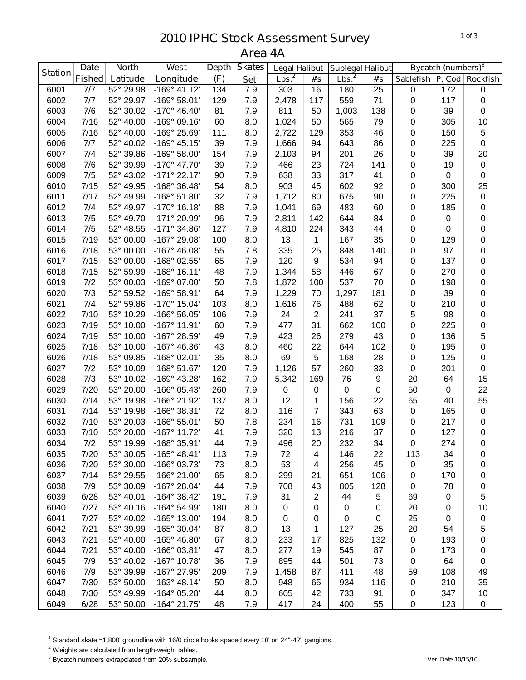## **IPHC Stock Assessment Survey Area 4A**

|                | <b>Date</b>   | <b>North</b> | <b>West</b>             | <b>Depth</b> | <b>Skates</b>    | <b>Legal Halibut</b> |                | <b>Sublegal Halibut</b> |                  |                  | <b>Bycatch (numbers)</b> <sup>3</sup> |                 |
|----------------|---------------|--------------|-------------------------|--------------|------------------|----------------------|----------------|-------------------------|------------------|------------------|---------------------------------------|-----------------|
| <b>Station</b> | <b>Fished</b> | Latitude     | Longitude               | (F)          | Set <sup>1</sup> | Lbs. <sup>2</sup>    | #'s            | Lbs. <sup>2</sup>       | #s               | <b>Sablefish</b> |                                       | P. Cod Rockfish |
| 6001           | 7/7           | 52° 29.98'   | $-169°$ 41.12'          | 134          | 7.9              | 303                  | 16             | 180                     | 25               | $\pmb{0}$        | 172                                   | $\pmb{0}$       |
| 6002           | 7/7           | 52° 29.97'   | $-169°58.01'$           | 129          | 7.9              | 2,478                | 117            | 559                     | 71               | $\pmb{0}$        | 117                                   | $\pmb{0}$       |
| 6003           | 7/6           | 52° 30.02'   | $-170^{\circ}$ 46.40'   | 81           | 7.9              | 811                  | 50             | 1,003                   | 138              | 0                | 39                                    | $\pmb{0}$       |
| 6004           | 7/16          | 52° 40.00'   | $-169°09.16'$           | 60           | 8.0              | 1,024                | 50             | 565                     | 79               | 0                | 305                                   | 10              |
| 6005           | 7/16          | 52° 40.00'   | -169° 25.69'            | 111          | 8.0              | 2,722                | 129            | 353                     | 46               | 0                | 150                                   | $\mathbf 5$     |
| 6006           | 7/7           | 52° 40.02'   | $-169°$ 45.15'          | 39           | 7.9              | 1,666                | 94             | 643                     | 86               | 0                | 225                                   | $\pmb{0}$       |
| 6007           | 7/4           | 52° 39.86'   | $-169°58.00'$           | 154          | 7.9              | 2,103                | 94             | 201                     | 26               | 0                | 39                                    | 20              |
| 6008           | 7/6           | 52° 39.99'   | -170° 47.70'            | 39           | 7.9              | 466                  | 23             | 724                     | 141              | 0                | 19                                    | $\pmb{0}$       |
| 6009           | 7/5           | 52° 43.02'   | $-171°$ 22.17'          | 90           | 7.9              | 638                  | 33             | 317                     | 41               | 0                | 0                                     | $\pmb{0}$       |
| 6010           | 7/15          | 52° 49.95'   | -168° 36.48'            | 54           | 8.0              | 903                  | 45             | 602                     | 92               | 0                | 300                                   | 25              |
| 6011           | 7/17          | 52° 49.99'   | $-168°51.80'$           | 32           | 7.9              | 1,712                | 80             | 675                     | 90               | 0                | 225                                   | $\pmb{0}$       |
| 6012           | 7/4           | 52° 49.97'   | $-170^{\circ}$ 16.18'   | 88           | 7.9              | 1,041                | 69             | 483                     | 60               | 0                | 185                                   | 0               |
| 6013           | 7/5           | 52° 49.70'   | -171° 20.99'            | 96           | 7.9              | 2,811                | 142            | 644                     | 84               | 0                | 0                                     | $\pmb{0}$       |
| 6014           | 7/5           | 52° 48.55'   | $-171°34.86'$           | 127          | 7.9              | 4,810                | 224            | 343                     | 44               | 0                | 0                                     | $\pmb{0}$       |
| 6015           | 7/19          | 53° 00.00'   | -167° 29.08'            | 100          | 8.0              | 13                   | 1              | 167                     | 35               | 0                | 129                                   | 0               |
| 6016           | 7/18          | 53° 00.00'   | $-167^{\circ}$ 46.08'   | 55           | 7.8              | 335                  | 25             | 848                     | 140              | 0                | 97                                    | 0               |
| 6017           | 7/15          | 53° 00.00'   | -168° 02.55'            | 65           | 7.9              | 120                  | 9              | 534                     | 94               | 0                | 137                                   | 0               |
| 6018           | 7/15          | 52° 59.99'   | $-168°$ 16.11'          | 48           | 7.9              | 1,344                | 58             | 446                     | 67               | 0                | 270                                   | 0               |
| 6019           | 7/2           | 53° 00.03'   | -169° 07.00'            | 50           | 7.8              | 1,872                | 100            | 537                     | 70               | 0                | 198                                   | 0               |
| 6020           | 7/3           | 52° 59.52'   | $-169°58.91'$           | 64           | 7.9              | 1,229                | 70             | 1,297                   | 181              | 0                | 39                                    | 0               |
| 6021           | 7/4           | 52° 59.86'   | -170° 15.04'            | 103          | 8.0              | 1,616                | 76             | 488                     | 62               | 0                | 210                                   | 0               |
| 6022           | 7/10          | 53° 10.29'   | -166° 56.05'            | 106          | 7.9              | 24                   | $\overline{2}$ | 241                     | 37               | 5                | 98                                    | 0               |
| 6023           | 7/19          | 53° 10.00'   | $-167^\circ$ 11.91'     | 60           | 7.9              | 477                  | 31             | 662                     | 100              | 0                | 225                                   | 0               |
| 6024           | 7/19          | 53° 10.00'   | -167° 28.59'            | 49           | 7.9              | 423                  | 26             | 279                     | 43               | 0                | 136                                   | 5               |
| 6025           | 7/18          | 53° 10.00'   | $-167^{\circ}$ 46.36'   | 43           | 8.0              | 460                  | 22             | 644                     | 102              | 0                | 195                                   | $\pmb{0}$       |
| 6026           | 7/18          | 53° 09.85'   | $-168°02.01'$           | 35           | 8.0              | 69                   | 5              | 168                     | 28               | 0                | 125                                   | $\pmb{0}$       |
| 6027           | 7/2           | 53° 10.09'   | $-168°51.67'$           | 120          | 7.9              | 1,126                | 57             | 260                     | 33               | $\mathbf 0$      | 201                                   | $\pmb{0}$       |
| 6028           | 7/3           | 53° 10.02'   | -169° 43.28'            | 162          | 7.9              | 5,342                | 169            | 76                      | $\boldsymbol{9}$ | 20               | 64                                    | 15              |
| 6029           | 7/20          | 53° 20.00'   | -166° 05.43'            | 260          | 7.9              | 0                    | 0              | 0                       | 0                | 50               | 0                                     | 22              |
| 6030           | 7/14          | 53° 19.98'   | -166° 21.92'            | 137          | 8.0              | 12                   | 1              | 156                     | 22               | 65               | 40                                    | 55              |
| 6031           | 7/14          | 53° 19.98'   | -166° 38.31'            | 72           | 8.0              | 116                  | 7              | 343                     | 63               | 0                | 165                                   | $\pmb{0}$       |
| 6032           | 7/10          | 53° 20.03'   | $-166°55.01'$           | 50           | 7.8              | 234                  | 16             | 731                     | 109              | 0                | 217                                   | 0               |
| 6033           | 7/10          | 53° 20.00'   | $-167^{\circ}$ 11.72'   | 41           | 7.9              | 320                  | 13             | 216                     | 37               | 0                | 127                                   | $\pmb{0}$       |
| 6034           | 7/2           |              | 53° 19.99' -168° 35.91' | 44           | 7.9              | 496                  | 20             | 232                     | 34               | $\mathbf 0$      | 274                                   | 0               |
| 6035           | 7/20          | 53° 30.05'   | $-165^{\circ}$ 48.41'   | 113          | 7.9              | 72                   | 4              | 146                     | 22               | 113              | 34                                    | 0               |
| 6036           | 7/20          | 53° 30.00'   | -166° 03.73'            | 73           | 8.0              | 53                   | 4              | 256                     | 45               | 0                | 35                                    | 0               |
| 6037           | 7/14          | 53° 29.55'   | $-166^{\circ}$ 21.00'   | 65           | 8.0              | 299                  | 21             | 651                     | 106              | 0                | 170                                   | 0               |
| 6038           | 7/9           | 53° 30.09'   | $-167^{\circ}$ 28.04'   | 44           | 7.9              | 708                  | 43             | 805                     | 128              | 0                | 78                                    | 0               |
| 6039           | 6/28          | 53° 40.01'   | $-164^{\circ}$ 38.42'   | 191          | 7.9              | 31                   | $\overline{2}$ | 44                      | 5                | 69               | 0                                     | $\mathbf 5$     |
| 6040           | 7/27          | 53° 40.16'   | $-164^{\circ}$ 54.99'   | 180          | 8.0              | $\pmb{0}$            | 0              | 0                       | $\mathbf 0$      | 20               | 0                                     | 10              |
| 6041           | 7/27          | 53° 40.02'   | -165° 13.00'            | 194          | 8.0              | 0                    | 0              | 0                       | 0                | 25               | 0                                     | 0               |
| 6042           | 7/21          | 53° 39.99'   | -165° 30.04'            | 87           | 8.0              | 13                   | 1              | 127                     | 25               | 20               | 54                                    | 5               |
| 6043           | 7/21          | 53° 40.00'   | $-165^{\circ}$ 46.80'   | 67           | 8.0              | 233                  | 17             | 825                     | 132              | $\mathbf 0$      | 193                                   | 0               |
| 6044           | 7/21          | 53° 40.00'   | $-166°03.81'$           | 47           | 8.0              | 277                  | 19             | 545                     | 87               | 0                | 173                                   | 0               |
| 6045           | 7/9           | 53° 40.02'   | $-167^\circ$ 10.78'     | 36           | 7.9              | 895                  | 44             | 501                     | 73               | 0                | 64                                    | 0               |
| 6046           | 7/9           | 53° 39.99'   | -167° 27.95'            | 209          | 7.9              | 1,458                | 87             | 411                     | 48               | 59               | 108                                   | 49              |
| 6047           | 7/30          | 53° 50.00'   | $-163^{\circ}$ 48.14'   | 50           | 8.0              | 948                  | 65             | 934                     | 116              | $\mathbf 0$      | 210                                   | 35              |
| 6048           | 7/30          | 53° 49.99'   | -164° 05.28'            | 44           | 8.0              | 605                  | 42             | 733                     | 91               | 0                | 347                                   | 10              |
| 6049           | 6/28          | 53° 50.00'   | $-164^{\circ}$ 21.75'   | 48           | 7.9              | 417                  | 24             | 400                     | 55               | 0                | 123                                   | 0               |

Standard skate =1,800' groundline with 16/0 circle hooks spaced every 18' on 24"-42" gangions.

<sup>2</sup> Weights are calculated from length-weight tables.

Bycatch numbers extrapolated from 20% subsample. *Ver. Date 10/15/10*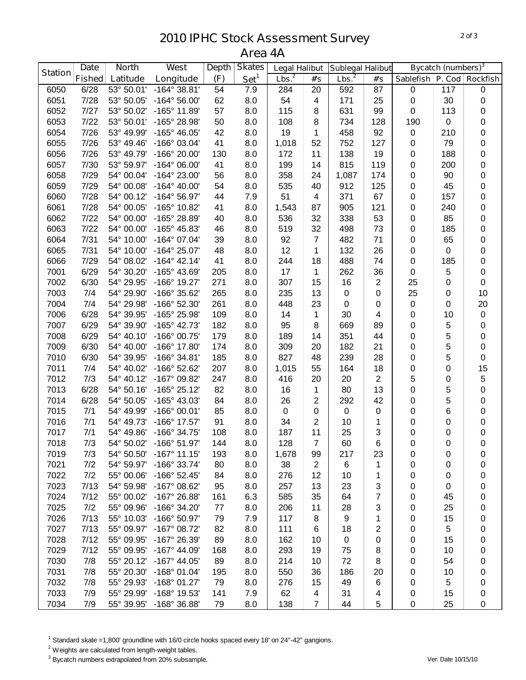## **IPHC Stock Assessment Survey Area 4A**

| Lbs. <sup>2</sup><br>Set <sup>1</sup><br>Lbs. <sup>2</sup><br><b>Fished</b><br>(F)<br>Latitude<br>Longitude<br>P. Cod Rockfish<br>#'s<br>#s<br><b>Sablefish</b><br>6/28<br>53° 50.01'<br>$-164^{\circ}$ 38.81'<br>6050<br>54<br>7.9<br>284<br>20<br>592<br>87<br>$\pmb{0}$<br>117<br>0<br>7/28<br>54<br>25<br>30<br>6051<br>53° 50.05'<br>$-164^{\circ} 56.00'$<br>62<br>8.0<br>4<br>171<br>$\pmb{0}$<br>$\pmb{0}$<br>7/27<br>-165° 11.89'<br>57<br>99<br>6052<br>53° 50.02'<br>8.0<br>115<br>8<br>631<br>0<br>113<br>0<br>7/22<br>-165° 28.98'<br>50<br>128<br>190<br>0<br>6053<br>53° 50.01'<br>8.0<br>108<br>8<br>734<br>0<br>7/26<br>6054<br>53° 49.99'<br>$-165^{\circ}$ 46.05'<br>42<br>8.0<br>19<br>458<br>92<br>210<br>0<br>1<br>$\mathbf 0$<br>7/26<br>41<br>52<br>127<br>79<br>0<br>6055<br>53° 49.46'<br>-166° 03.04'<br>8.0<br>1,018<br>752<br>0<br>7/26<br>0<br>6056<br>53° 49.79'<br>-166° 20.00'<br>130<br>8.0<br>172<br>11<br>138<br>19<br>188<br>0<br>7/30<br>815<br>6057<br>53° 59.97'<br>$-164^{\circ}$ 06.00'<br>41<br>8.0<br>199<br>14<br>119<br>200<br>$\pmb{0}$<br>0<br>7/29<br>6058<br>54° 00.04'<br>-164° 23.00'<br>56<br>8.0<br>358<br>24<br>1,087<br>174<br>0<br>90<br>$\pmb{0}$<br>7/29<br>54<br>6059<br>54° 00.08'<br>$-164^{\circ}$ 40.00'<br>8.0<br>535<br>40<br>912<br>125<br>0<br>45<br>0<br>7/28<br>51<br>371<br>6060<br>54° 00.12'<br>-164° 56.97'<br>44<br>7.9<br>$\overline{4}$<br>67<br>0<br>157<br>0<br>7/28<br>54° 00.05'<br>-165° 10.82'<br>121<br>0<br>6061<br>41<br>8.0<br>1,543<br>87<br>905<br>0<br>240<br>7/22<br>53<br>85<br>6062<br>54° 00.00'<br>-165° 28.89'<br>8.0<br>536<br>32<br>338<br>0<br>0<br>40<br>7/22<br>519<br>32<br>73<br>6063<br>54° 00.00'<br>-165° 45.83'<br>46<br>8.0<br>498<br>0<br>185<br>$\pmb{0}$<br>6064<br>7/31<br>-164° 07.04'<br>92<br>$\overline{7}$<br>71<br>65<br>54° 10.00'<br>39<br>8.0<br>482<br>0<br>$\pmb{0}$<br>7/31<br>12<br>26<br>0<br>6065<br>54° 10.00'<br>$-164^{\circ}$ 25.07'<br>8.0<br>132<br>0<br>0<br>48<br>$\mathbf 1$<br>7/29<br>74<br>185<br>0<br>6066<br>54° 08.02'<br>$-164^{\circ}$ 42.14'<br>41<br>8.0<br>244<br>18<br>488<br>0<br>6/29<br>-165° 43.69'<br>262<br>36<br>5<br>$\pmb{0}$<br>7001<br>54° 30.20'<br>205<br>8.0<br>17<br>1<br>0<br>6/30<br>25<br>7002<br>54° 29.95'<br>-166° 19.27'<br>271<br>8.0<br>307<br>15<br>16<br>$\overline{2}$<br>0<br>$\pmb{0}$<br>25<br>10<br>7003<br>7/4<br>54° 29.90'<br>-166° 35.62'<br>265<br>8.0<br>235<br>13<br>$\mathbf 0$<br>0<br>0<br>7004<br>7/4<br>261<br>8.0<br>20<br>54° 29.98'<br>-166° 52.30'<br>448<br>23<br>0<br>0<br>0<br>0<br>6/28<br>$\pmb{0}$<br>7006<br>54° 39.95'<br>-165° 25.98'<br>109<br>8.0<br>14<br>30<br>10<br>1<br>4<br>0<br>5<br>7007<br>6/29<br>54° 39.90'<br>-165° 42.73'<br>182<br>8.0<br>95<br>8<br>669<br>89<br>0<br>0<br>6/29<br>5<br>7008<br>54° 40.10'<br>-166° 00.75'<br>179<br>8.0<br>189<br>351<br>44<br>0<br>14<br>0<br>5<br>6/30<br>21<br>0<br>7009<br>54° 40.00'<br>-166° 17.80'<br>174<br>8.0<br>309<br>20<br>182<br>0<br>5<br>28<br>$\pmb{0}$<br>7010<br>6/30<br>54° 39.95'<br>-166° 34.81'<br>185<br>8.0<br>827<br>48<br>239<br>0<br>18<br>15<br>7011<br>7/4<br>54° 40.02'<br>-166° 52.62'<br>207<br>8.0<br>1,015<br>55<br>164<br>0<br>0<br>5<br>5<br>7/3<br>-167° 09.82'<br>247<br>$\overline{2}$<br>7012<br>54° 40.12'<br>8.0<br>416<br>20<br>20<br>0<br>5<br>6/28<br>13<br>0<br>7013<br>54° 50.16'<br>$-165^{\circ}$ 25.12'<br>82<br>8.0<br>16<br>80<br>0<br>1<br>5<br>6/28<br>26<br>42<br>0<br>7014<br>54° 50.05'<br>-165° 43.03'<br>84<br>8.0<br>2<br>292<br>0<br>6<br>7/1<br>85<br>0<br>7015<br>54° 49.99'<br>-166° 00.01'<br>8.0<br>$\boldsymbol{0}$<br>0<br>0<br>0<br>0<br>7/1<br>7016<br>54° 49.73'<br>-166° 17.57'<br>91<br>8.0<br>34<br>2<br>10<br>0<br>0<br>1<br>0<br>7/1<br>108<br>25<br>3<br>7017<br>54° 49.86'<br>-166° 34.75'<br>8.0<br>187<br>11<br>0<br>$\pmb{0}$<br>0<br>54° 50.02' -166° 51.97'<br>128<br>60<br>6<br>$\Omega$<br>7018<br>7/3<br>144<br>8.0<br>$\overline{7}$<br>0<br>0<br>7019<br>7/3<br>54° 50.50'<br>$-167^\circ$ 11.15'<br>193<br>8.0<br>1,678<br>99<br>217<br>23<br>0<br>0<br>0<br>7021<br>7/2<br>54° 59.97'<br>-166° 33.74'<br>8.0<br>80<br>38<br>$\overline{2}$<br>6<br>1<br>0<br>0<br>0<br>7/2<br>7022<br>55° 00.06'<br>$-166°52.45'$<br>84<br>8.0<br>276<br>12<br>10<br>0<br>0<br>0<br>1<br>7023<br>7/13<br>3<br>54° 59.98'<br>$-167^{\circ}$ 08.62'<br>95<br>8.0<br>257<br>13<br>23<br>0<br>0<br>0<br>7024<br>7/12<br>55° 00.02'<br>161<br>6.3<br>585<br>35<br>64<br>45<br>$-167^{\circ}$ 26.88'<br>7<br>0<br>0<br>7025<br>7/2<br>55° 09.96'<br>8.0<br>11<br>-166° 34.20'<br>77<br>206<br>28<br>3<br>0<br>25<br>0<br>7026<br>7/13<br>7.9<br>9<br>15<br>55° 10.03'<br>-166° 50.97'<br>79<br>117<br>8<br>1<br>0<br>0<br>7027<br>7/13<br>55° 09.97'<br>8.0<br>18<br>2<br>5<br>$-167^{\circ}$ 08.72'<br>82<br>111<br>0<br>6<br>0<br>7/12<br>8.0<br>7028<br>55° 09.95'<br>-167° 26.39'<br>89<br>162<br>10<br>15<br>0<br>0<br>0<br>0<br>7029<br>7/12<br>168<br>8.0<br>75<br>55° 09.95'<br>$-167^{\circ}$ 44.09'<br>293<br>19<br>8<br>10<br>0<br>0<br>7030<br>7/8<br>89<br>8.0<br>55° 20.12'<br>$-167^{\circ}$ 44.05'<br>214<br>10<br>72<br>54<br>8<br>0<br>0<br>7031<br>7/8<br>55° 20.30'<br>-168° 01.04'<br>195<br>8.0<br>550<br>36<br>186<br>20<br>10<br>0<br>0<br>7032<br>7/8<br>55° 29.93'<br>$-168°01.27'$<br>79<br>49<br>5<br>8.0<br>276<br>15<br>6<br>0<br>0<br>7033<br>7/9<br>55° 29.99'<br>-168° 19.53'<br>141<br>7.9<br>62<br>31<br>15<br>0<br>4<br>4<br>0 | <b>Station</b> | <b>Date</b> | <b>North</b> | West         | <b>Depth</b> | <b>Skates</b> | <b>Legal Halibut</b> |                | <b>Sublegal Halibut</b> |   |   | <b>Bycatch (numbers)</b> <sup>3</sup> |   |
|------------------------------------------------------------------------------------------------------------------------------------------------------------------------------------------------------------------------------------------------------------------------------------------------------------------------------------------------------------------------------------------------------------------------------------------------------------------------------------------------------------------------------------------------------------------------------------------------------------------------------------------------------------------------------------------------------------------------------------------------------------------------------------------------------------------------------------------------------------------------------------------------------------------------------------------------------------------------------------------------------------------------------------------------------------------------------------------------------------------------------------------------------------------------------------------------------------------------------------------------------------------------------------------------------------------------------------------------------------------------------------------------------------------------------------------------------------------------------------------------------------------------------------------------------------------------------------------------------------------------------------------------------------------------------------------------------------------------------------------------------------------------------------------------------------------------------------------------------------------------------------------------------------------------------------------------------------------------------------------------------------------------------------------------------------------------------------------------------------------------------------------------------------------------------------------------------------------------------------------------------------------------------------------------------------------------------------------------------------------------------------------------------------------------------------------------------------------------------------------------------------------------------------------------------------------------------------------------------------------------------------------------------------------------------------------------------------------------------------------------------------------------------------------------------------------------------------------------------------------------------------------------------------------------------------------------------------------------------------------------------------------------------------------------------------------------------------------------------------------------------------------------------------------------------------------------------------------------------------------------------------------------------------------------------------------------------------------------------------------------------------------------------------------------------------------------------------------------------------------------------------------------------------------------------------------------------------------------------------------------------------------------------------------------------------------------------------------------------------------------------------------------------------------------------------------------------------------------------------------------------------------------------------------------------------------------------------------------------------------------------------------------------------------------------------------------------------------------------------------------------------------------------------------------------------------------------------------------------------------------------------------------------------------------------------------------------------------------------------------------------------------------------------------------------------------------------------------------------------------------------------------------------------------------------------------------------------------------------------------------------------------------------------------------------------------------------------------------------------------------------------------------------------------------------------------------------------------------------------------------------------------------------------------------------------------------------------------------------------------------------------------------------------------------------------------------------------------------------------------------------------------------------------------------------------------------------------------------------------------------------------------------------------------------------------------------------------------------------------------------------------------------------------------------------------------------------------------------------------------------------|----------------|-------------|--------------|--------------|--------------|---------------|----------------------|----------------|-------------------------|---|---|---------------------------------------|---|
|                                                                                                                                                                                                                                                                                                                                                                                                                                                                                                                                                                                                                                                                                                                                                                                                                                                                                                                                                                                                                                                                                                                                                                                                                                                                                                                                                                                                                                                                                                                                                                                                                                                                                                                                                                                                                                                                                                                                                                                                                                                                                                                                                                                                                                                                                                                                                                                                                                                                                                                                                                                                                                                                                                                                                                                                                                                                                                                                                                                                                                                                                                                                                                                                                                                                                                                                                                                                                                                                                                                                                                                                                                                                                                                                                                                                                                                                                                                                                                                                                                                                                                                                                                                                                                                                                                                                                                                                                                                                                                                                                                                                                                                                                                                                                                                                                                                                                                                                                                                                                                                                                                                                                                                                                                                                                                                                                                                                                                                                                                      |                |             |              |              |              |               |                      |                |                         |   |   |                                       |   |
|                                                                                                                                                                                                                                                                                                                                                                                                                                                                                                                                                                                                                                                                                                                                                                                                                                                                                                                                                                                                                                                                                                                                                                                                                                                                                                                                                                                                                                                                                                                                                                                                                                                                                                                                                                                                                                                                                                                                                                                                                                                                                                                                                                                                                                                                                                                                                                                                                                                                                                                                                                                                                                                                                                                                                                                                                                                                                                                                                                                                                                                                                                                                                                                                                                                                                                                                                                                                                                                                                                                                                                                                                                                                                                                                                                                                                                                                                                                                                                                                                                                                                                                                                                                                                                                                                                                                                                                                                                                                                                                                                                                                                                                                                                                                                                                                                                                                                                                                                                                                                                                                                                                                                                                                                                                                                                                                                                                                                                                                                                      |                |             |              |              |              |               |                      |                |                         |   |   |                                       |   |
|                                                                                                                                                                                                                                                                                                                                                                                                                                                                                                                                                                                                                                                                                                                                                                                                                                                                                                                                                                                                                                                                                                                                                                                                                                                                                                                                                                                                                                                                                                                                                                                                                                                                                                                                                                                                                                                                                                                                                                                                                                                                                                                                                                                                                                                                                                                                                                                                                                                                                                                                                                                                                                                                                                                                                                                                                                                                                                                                                                                                                                                                                                                                                                                                                                                                                                                                                                                                                                                                                                                                                                                                                                                                                                                                                                                                                                                                                                                                                                                                                                                                                                                                                                                                                                                                                                                                                                                                                                                                                                                                                                                                                                                                                                                                                                                                                                                                                                                                                                                                                                                                                                                                                                                                                                                                                                                                                                                                                                                                                                      |                |             |              |              |              |               |                      |                |                         |   |   |                                       |   |
|                                                                                                                                                                                                                                                                                                                                                                                                                                                                                                                                                                                                                                                                                                                                                                                                                                                                                                                                                                                                                                                                                                                                                                                                                                                                                                                                                                                                                                                                                                                                                                                                                                                                                                                                                                                                                                                                                                                                                                                                                                                                                                                                                                                                                                                                                                                                                                                                                                                                                                                                                                                                                                                                                                                                                                                                                                                                                                                                                                                                                                                                                                                                                                                                                                                                                                                                                                                                                                                                                                                                                                                                                                                                                                                                                                                                                                                                                                                                                                                                                                                                                                                                                                                                                                                                                                                                                                                                                                                                                                                                                                                                                                                                                                                                                                                                                                                                                                                                                                                                                                                                                                                                                                                                                                                                                                                                                                                                                                                                                                      |                |             |              |              |              |               |                      |                |                         |   |   |                                       |   |
|                                                                                                                                                                                                                                                                                                                                                                                                                                                                                                                                                                                                                                                                                                                                                                                                                                                                                                                                                                                                                                                                                                                                                                                                                                                                                                                                                                                                                                                                                                                                                                                                                                                                                                                                                                                                                                                                                                                                                                                                                                                                                                                                                                                                                                                                                                                                                                                                                                                                                                                                                                                                                                                                                                                                                                                                                                                                                                                                                                                                                                                                                                                                                                                                                                                                                                                                                                                                                                                                                                                                                                                                                                                                                                                                                                                                                                                                                                                                                                                                                                                                                                                                                                                                                                                                                                                                                                                                                                                                                                                                                                                                                                                                                                                                                                                                                                                                                                                                                                                                                                                                                                                                                                                                                                                                                                                                                                                                                                                                                                      |                |             |              |              |              |               |                      |                |                         |   |   |                                       |   |
|                                                                                                                                                                                                                                                                                                                                                                                                                                                                                                                                                                                                                                                                                                                                                                                                                                                                                                                                                                                                                                                                                                                                                                                                                                                                                                                                                                                                                                                                                                                                                                                                                                                                                                                                                                                                                                                                                                                                                                                                                                                                                                                                                                                                                                                                                                                                                                                                                                                                                                                                                                                                                                                                                                                                                                                                                                                                                                                                                                                                                                                                                                                                                                                                                                                                                                                                                                                                                                                                                                                                                                                                                                                                                                                                                                                                                                                                                                                                                                                                                                                                                                                                                                                                                                                                                                                                                                                                                                                                                                                                                                                                                                                                                                                                                                                                                                                                                                                                                                                                                                                                                                                                                                                                                                                                                                                                                                                                                                                                                                      |                |             |              |              |              |               |                      |                |                         |   |   |                                       |   |
|                                                                                                                                                                                                                                                                                                                                                                                                                                                                                                                                                                                                                                                                                                                                                                                                                                                                                                                                                                                                                                                                                                                                                                                                                                                                                                                                                                                                                                                                                                                                                                                                                                                                                                                                                                                                                                                                                                                                                                                                                                                                                                                                                                                                                                                                                                                                                                                                                                                                                                                                                                                                                                                                                                                                                                                                                                                                                                                                                                                                                                                                                                                                                                                                                                                                                                                                                                                                                                                                                                                                                                                                                                                                                                                                                                                                                                                                                                                                                                                                                                                                                                                                                                                                                                                                                                                                                                                                                                                                                                                                                                                                                                                                                                                                                                                                                                                                                                                                                                                                                                                                                                                                                                                                                                                                                                                                                                                                                                                                                                      |                |             |              |              |              |               |                      |                |                         |   |   |                                       |   |
|                                                                                                                                                                                                                                                                                                                                                                                                                                                                                                                                                                                                                                                                                                                                                                                                                                                                                                                                                                                                                                                                                                                                                                                                                                                                                                                                                                                                                                                                                                                                                                                                                                                                                                                                                                                                                                                                                                                                                                                                                                                                                                                                                                                                                                                                                                                                                                                                                                                                                                                                                                                                                                                                                                                                                                                                                                                                                                                                                                                                                                                                                                                                                                                                                                                                                                                                                                                                                                                                                                                                                                                                                                                                                                                                                                                                                                                                                                                                                                                                                                                                                                                                                                                                                                                                                                                                                                                                                                                                                                                                                                                                                                                                                                                                                                                                                                                                                                                                                                                                                                                                                                                                                                                                                                                                                                                                                                                                                                                                                                      |                |             |              |              |              |               |                      |                |                         |   |   |                                       |   |
|                                                                                                                                                                                                                                                                                                                                                                                                                                                                                                                                                                                                                                                                                                                                                                                                                                                                                                                                                                                                                                                                                                                                                                                                                                                                                                                                                                                                                                                                                                                                                                                                                                                                                                                                                                                                                                                                                                                                                                                                                                                                                                                                                                                                                                                                                                                                                                                                                                                                                                                                                                                                                                                                                                                                                                                                                                                                                                                                                                                                                                                                                                                                                                                                                                                                                                                                                                                                                                                                                                                                                                                                                                                                                                                                                                                                                                                                                                                                                                                                                                                                                                                                                                                                                                                                                                                                                                                                                                                                                                                                                                                                                                                                                                                                                                                                                                                                                                                                                                                                                                                                                                                                                                                                                                                                                                                                                                                                                                                                                                      |                |             |              |              |              |               |                      |                |                         |   |   |                                       |   |
|                                                                                                                                                                                                                                                                                                                                                                                                                                                                                                                                                                                                                                                                                                                                                                                                                                                                                                                                                                                                                                                                                                                                                                                                                                                                                                                                                                                                                                                                                                                                                                                                                                                                                                                                                                                                                                                                                                                                                                                                                                                                                                                                                                                                                                                                                                                                                                                                                                                                                                                                                                                                                                                                                                                                                                                                                                                                                                                                                                                                                                                                                                                                                                                                                                                                                                                                                                                                                                                                                                                                                                                                                                                                                                                                                                                                                                                                                                                                                                                                                                                                                                                                                                                                                                                                                                                                                                                                                                                                                                                                                                                                                                                                                                                                                                                                                                                                                                                                                                                                                                                                                                                                                                                                                                                                                                                                                                                                                                                                                                      |                |             |              |              |              |               |                      |                |                         |   |   |                                       |   |
|                                                                                                                                                                                                                                                                                                                                                                                                                                                                                                                                                                                                                                                                                                                                                                                                                                                                                                                                                                                                                                                                                                                                                                                                                                                                                                                                                                                                                                                                                                                                                                                                                                                                                                                                                                                                                                                                                                                                                                                                                                                                                                                                                                                                                                                                                                                                                                                                                                                                                                                                                                                                                                                                                                                                                                                                                                                                                                                                                                                                                                                                                                                                                                                                                                                                                                                                                                                                                                                                                                                                                                                                                                                                                                                                                                                                                                                                                                                                                                                                                                                                                                                                                                                                                                                                                                                                                                                                                                                                                                                                                                                                                                                                                                                                                                                                                                                                                                                                                                                                                                                                                                                                                                                                                                                                                                                                                                                                                                                                                                      |                |             |              |              |              |               |                      |                |                         |   |   |                                       |   |
|                                                                                                                                                                                                                                                                                                                                                                                                                                                                                                                                                                                                                                                                                                                                                                                                                                                                                                                                                                                                                                                                                                                                                                                                                                                                                                                                                                                                                                                                                                                                                                                                                                                                                                                                                                                                                                                                                                                                                                                                                                                                                                                                                                                                                                                                                                                                                                                                                                                                                                                                                                                                                                                                                                                                                                                                                                                                                                                                                                                                                                                                                                                                                                                                                                                                                                                                                                                                                                                                                                                                                                                                                                                                                                                                                                                                                                                                                                                                                                                                                                                                                                                                                                                                                                                                                                                                                                                                                                                                                                                                                                                                                                                                                                                                                                                                                                                                                                                                                                                                                                                                                                                                                                                                                                                                                                                                                                                                                                                                                                      |                |             |              |              |              |               |                      |                |                         |   |   |                                       |   |
|                                                                                                                                                                                                                                                                                                                                                                                                                                                                                                                                                                                                                                                                                                                                                                                                                                                                                                                                                                                                                                                                                                                                                                                                                                                                                                                                                                                                                                                                                                                                                                                                                                                                                                                                                                                                                                                                                                                                                                                                                                                                                                                                                                                                                                                                                                                                                                                                                                                                                                                                                                                                                                                                                                                                                                                                                                                                                                                                                                                                                                                                                                                                                                                                                                                                                                                                                                                                                                                                                                                                                                                                                                                                                                                                                                                                                                                                                                                                                                                                                                                                                                                                                                                                                                                                                                                                                                                                                                                                                                                                                                                                                                                                                                                                                                                                                                                                                                                                                                                                                                                                                                                                                                                                                                                                                                                                                                                                                                                                                                      |                |             |              |              |              |               |                      |                |                         |   |   |                                       |   |
|                                                                                                                                                                                                                                                                                                                                                                                                                                                                                                                                                                                                                                                                                                                                                                                                                                                                                                                                                                                                                                                                                                                                                                                                                                                                                                                                                                                                                                                                                                                                                                                                                                                                                                                                                                                                                                                                                                                                                                                                                                                                                                                                                                                                                                                                                                                                                                                                                                                                                                                                                                                                                                                                                                                                                                                                                                                                                                                                                                                                                                                                                                                                                                                                                                                                                                                                                                                                                                                                                                                                                                                                                                                                                                                                                                                                                                                                                                                                                                                                                                                                                                                                                                                                                                                                                                                                                                                                                                                                                                                                                                                                                                                                                                                                                                                                                                                                                                                                                                                                                                                                                                                                                                                                                                                                                                                                                                                                                                                                                                      |                |             |              |              |              |               |                      |                |                         |   |   |                                       |   |
|                                                                                                                                                                                                                                                                                                                                                                                                                                                                                                                                                                                                                                                                                                                                                                                                                                                                                                                                                                                                                                                                                                                                                                                                                                                                                                                                                                                                                                                                                                                                                                                                                                                                                                                                                                                                                                                                                                                                                                                                                                                                                                                                                                                                                                                                                                                                                                                                                                                                                                                                                                                                                                                                                                                                                                                                                                                                                                                                                                                                                                                                                                                                                                                                                                                                                                                                                                                                                                                                                                                                                                                                                                                                                                                                                                                                                                                                                                                                                                                                                                                                                                                                                                                                                                                                                                                                                                                                                                                                                                                                                                                                                                                                                                                                                                                                                                                                                                                                                                                                                                                                                                                                                                                                                                                                                                                                                                                                                                                                                                      |                |             |              |              |              |               |                      |                |                         |   |   |                                       |   |
|                                                                                                                                                                                                                                                                                                                                                                                                                                                                                                                                                                                                                                                                                                                                                                                                                                                                                                                                                                                                                                                                                                                                                                                                                                                                                                                                                                                                                                                                                                                                                                                                                                                                                                                                                                                                                                                                                                                                                                                                                                                                                                                                                                                                                                                                                                                                                                                                                                                                                                                                                                                                                                                                                                                                                                                                                                                                                                                                                                                                                                                                                                                                                                                                                                                                                                                                                                                                                                                                                                                                                                                                                                                                                                                                                                                                                                                                                                                                                                                                                                                                                                                                                                                                                                                                                                                                                                                                                                                                                                                                                                                                                                                                                                                                                                                                                                                                                                                                                                                                                                                                                                                                                                                                                                                                                                                                                                                                                                                                                                      |                |             |              |              |              |               |                      |                |                         |   |   |                                       |   |
|                                                                                                                                                                                                                                                                                                                                                                                                                                                                                                                                                                                                                                                                                                                                                                                                                                                                                                                                                                                                                                                                                                                                                                                                                                                                                                                                                                                                                                                                                                                                                                                                                                                                                                                                                                                                                                                                                                                                                                                                                                                                                                                                                                                                                                                                                                                                                                                                                                                                                                                                                                                                                                                                                                                                                                                                                                                                                                                                                                                                                                                                                                                                                                                                                                                                                                                                                                                                                                                                                                                                                                                                                                                                                                                                                                                                                                                                                                                                                                                                                                                                                                                                                                                                                                                                                                                                                                                                                                                                                                                                                                                                                                                                                                                                                                                                                                                                                                                                                                                                                                                                                                                                                                                                                                                                                                                                                                                                                                                                                                      |                |             |              |              |              |               |                      |                |                         |   |   |                                       |   |
|                                                                                                                                                                                                                                                                                                                                                                                                                                                                                                                                                                                                                                                                                                                                                                                                                                                                                                                                                                                                                                                                                                                                                                                                                                                                                                                                                                                                                                                                                                                                                                                                                                                                                                                                                                                                                                                                                                                                                                                                                                                                                                                                                                                                                                                                                                                                                                                                                                                                                                                                                                                                                                                                                                                                                                                                                                                                                                                                                                                                                                                                                                                                                                                                                                                                                                                                                                                                                                                                                                                                                                                                                                                                                                                                                                                                                                                                                                                                                                                                                                                                                                                                                                                                                                                                                                                                                                                                                                                                                                                                                                                                                                                                                                                                                                                                                                                                                                                                                                                                                                                                                                                                                                                                                                                                                                                                                                                                                                                                                                      |                |             |              |              |              |               |                      |                |                         |   |   |                                       |   |
|                                                                                                                                                                                                                                                                                                                                                                                                                                                                                                                                                                                                                                                                                                                                                                                                                                                                                                                                                                                                                                                                                                                                                                                                                                                                                                                                                                                                                                                                                                                                                                                                                                                                                                                                                                                                                                                                                                                                                                                                                                                                                                                                                                                                                                                                                                                                                                                                                                                                                                                                                                                                                                                                                                                                                                                                                                                                                                                                                                                                                                                                                                                                                                                                                                                                                                                                                                                                                                                                                                                                                                                                                                                                                                                                                                                                                                                                                                                                                                                                                                                                                                                                                                                                                                                                                                                                                                                                                                                                                                                                                                                                                                                                                                                                                                                                                                                                                                                                                                                                                                                                                                                                                                                                                                                                                                                                                                                                                                                                                                      |                |             |              |              |              |               |                      |                |                         |   |   |                                       |   |
|                                                                                                                                                                                                                                                                                                                                                                                                                                                                                                                                                                                                                                                                                                                                                                                                                                                                                                                                                                                                                                                                                                                                                                                                                                                                                                                                                                                                                                                                                                                                                                                                                                                                                                                                                                                                                                                                                                                                                                                                                                                                                                                                                                                                                                                                                                                                                                                                                                                                                                                                                                                                                                                                                                                                                                                                                                                                                                                                                                                                                                                                                                                                                                                                                                                                                                                                                                                                                                                                                                                                                                                                                                                                                                                                                                                                                                                                                                                                                                                                                                                                                                                                                                                                                                                                                                                                                                                                                                                                                                                                                                                                                                                                                                                                                                                                                                                                                                                                                                                                                                                                                                                                                                                                                                                                                                                                                                                                                                                                                                      |                |             |              |              |              |               |                      |                |                         |   |   |                                       |   |
|                                                                                                                                                                                                                                                                                                                                                                                                                                                                                                                                                                                                                                                                                                                                                                                                                                                                                                                                                                                                                                                                                                                                                                                                                                                                                                                                                                                                                                                                                                                                                                                                                                                                                                                                                                                                                                                                                                                                                                                                                                                                                                                                                                                                                                                                                                                                                                                                                                                                                                                                                                                                                                                                                                                                                                                                                                                                                                                                                                                                                                                                                                                                                                                                                                                                                                                                                                                                                                                                                                                                                                                                                                                                                                                                                                                                                                                                                                                                                                                                                                                                                                                                                                                                                                                                                                                                                                                                                                                                                                                                                                                                                                                                                                                                                                                                                                                                                                                                                                                                                                                                                                                                                                                                                                                                                                                                                                                                                                                                                                      |                |             |              |              |              |               |                      |                |                         |   |   |                                       |   |
|                                                                                                                                                                                                                                                                                                                                                                                                                                                                                                                                                                                                                                                                                                                                                                                                                                                                                                                                                                                                                                                                                                                                                                                                                                                                                                                                                                                                                                                                                                                                                                                                                                                                                                                                                                                                                                                                                                                                                                                                                                                                                                                                                                                                                                                                                                                                                                                                                                                                                                                                                                                                                                                                                                                                                                                                                                                                                                                                                                                                                                                                                                                                                                                                                                                                                                                                                                                                                                                                                                                                                                                                                                                                                                                                                                                                                                                                                                                                                                                                                                                                                                                                                                                                                                                                                                                                                                                                                                                                                                                                                                                                                                                                                                                                                                                                                                                                                                                                                                                                                                                                                                                                                                                                                                                                                                                                                                                                                                                                                                      |                |             |              |              |              |               |                      |                |                         |   |   |                                       |   |
|                                                                                                                                                                                                                                                                                                                                                                                                                                                                                                                                                                                                                                                                                                                                                                                                                                                                                                                                                                                                                                                                                                                                                                                                                                                                                                                                                                                                                                                                                                                                                                                                                                                                                                                                                                                                                                                                                                                                                                                                                                                                                                                                                                                                                                                                                                                                                                                                                                                                                                                                                                                                                                                                                                                                                                                                                                                                                                                                                                                                                                                                                                                                                                                                                                                                                                                                                                                                                                                                                                                                                                                                                                                                                                                                                                                                                                                                                                                                                                                                                                                                                                                                                                                                                                                                                                                                                                                                                                                                                                                                                                                                                                                                                                                                                                                                                                                                                                                                                                                                                                                                                                                                                                                                                                                                                                                                                                                                                                                                                                      |                |             |              |              |              |               |                      |                |                         |   |   |                                       |   |
|                                                                                                                                                                                                                                                                                                                                                                                                                                                                                                                                                                                                                                                                                                                                                                                                                                                                                                                                                                                                                                                                                                                                                                                                                                                                                                                                                                                                                                                                                                                                                                                                                                                                                                                                                                                                                                                                                                                                                                                                                                                                                                                                                                                                                                                                                                                                                                                                                                                                                                                                                                                                                                                                                                                                                                                                                                                                                                                                                                                                                                                                                                                                                                                                                                                                                                                                                                                                                                                                                                                                                                                                                                                                                                                                                                                                                                                                                                                                                                                                                                                                                                                                                                                                                                                                                                                                                                                                                                                                                                                                                                                                                                                                                                                                                                                                                                                                                                                                                                                                                                                                                                                                                                                                                                                                                                                                                                                                                                                                                                      |                |             |              |              |              |               |                      |                |                         |   |   |                                       |   |
|                                                                                                                                                                                                                                                                                                                                                                                                                                                                                                                                                                                                                                                                                                                                                                                                                                                                                                                                                                                                                                                                                                                                                                                                                                                                                                                                                                                                                                                                                                                                                                                                                                                                                                                                                                                                                                                                                                                                                                                                                                                                                                                                                                                                                                                                                                                                                                                                                                                                                                                                                                                                                                                                                                                                                                                                                                                                                                                                                                                                                                                                                                                                                                                                                                                                                                                                                                                                                                                                                                                                                                                                                                                                                                                                                                                                                                                                                                                                                                                                                                                                                                                                                                                                                                                                                                                                                                                                                                                                                                                                                                                                                                                                                                                                                                                                                                                                                                                                                                                                                                                                                                                                                                                                                                                                                                                                                                                                                                                                                                      |                |             |              |              |              |               |                      |                |                         |   |   |                                       |   |
|                                                                                                                                                                                                                                                                                                                                                                                                                                                                                                                                                                                                                                                                                                                                                                                                                                                                                                                                                                                                                                                                                                                                                                                                                                                                                                                                                                                                                                                                                                                                                                                                                                                                                                                                                                                                                                                                                                                                                                                                                                                                                                                                                                                                                                                                                                                                                                                                                                                                                                                                                                                                                                                                                                                                                                                                                                                                                                                                                                                                                                                                                                                                                                                                                                                                                                                                                                                                                                                                                                                                                                                                                                                                                                                                                                                                                                                                                                                                                                                                                                                                                                                                                                                                                                                                                                                                                                                                                                                                                                                                                                                                                                                                                                                                                                                                                                                                                                                                                                                                                                                                                                                                                                                                                                                                                                                                                                                                                                                                                                      |                |             |              |              |              |               |                      |                |                         |   |   |                                       |   |
|                                                                                                                                                                                                                                                                                                                                                                                                                                                                                                                                                                                                                                                                                                                                                                                                                                                                                                                                                                                                                                                                                                                                                                                                                                                                                                                                                                                                                                                                                                                                                                                                                                                                                                                                                                                                                                                                                                                                                                                                                                                                                                                                                                                                                                                                                                                                                                                                                                                                                                                                                                                                                                                                                                                                                                                                                                                                                                                                                                                                                                                                                                                                                                                                                                                                                                                                                                                                                                                                                                                                                                                                                                                                                                                                                                                                                                                                                                                                                                                                                                                                                                                                                                                                                                                                                                                                                                                                                                                                                                                                                                                                                                                                                                                                                                                                                                                                                                                                                                                                                                                                                                                                                                                                                                                                                                                                                                                                                                                                                                      |                |             |              |              |              |               |                      |                |                         |   |   |                                       |   |
|                                                                                                                                                                                                                                                                                                                                                                                                                                                                                                                                                                                                                                                                                                                                                                                                                                                                                                                                                                                                                                                                                                                                                                                                                                                                                                                                                                                                                                                                                                                                                                                                                                                                                                                                                                                                                                                                                                                                                                                                                                                                                                                                                                                                                                                                                                                                                                                                                                                                                                                                                                                                                                                                                                                                                                                                                                                                                                                                                                                                                                                                                                                                                                                                                                                                                                                                                                                                                                                                                                                                                                                                                                                                                                                                                                                                                                                                                                                                                                                                                                                                                                                                                                                                                                                                                                                                                                                                                                                                                                                                                                                                                                                                                                                                                                                                                                                                                                                                                                                                                                                                                                                                                                                                                                                                                                                                                                                                                                                                                                      |                |             |              |              |              |               |                      |                |                         |   |   |                                       |   |
|                                                                                                                                                                                                                                                                                                                                                                                                                                                                                                                                                                                                                                                                                                                                                                                                                                                                                                                                                                                                                                                                                                                                                                                                                                                                                                                                                                                                                                                                                                                                                                                                                                                                                                                                                                                                                                                                                                                                                                                                                                                                                                                                                                                                                                                                                                                                                                                                                                                                                                                                                                                                                                                                                                                                                                                                                                                                                                                                                                                                                                                                                                                                                                                                                                                                                                                                                                                                                                                                                                                                                                                                                                                                                                                                                                                                                                                                                                                                                                                                                                                                                                                                                                                                                                                                                                                                                                                                                                                                                                                                                                                                                                                                                                                                                                                                                                                                                                                                                                                                                                                                                                                                                                                                                                                                                                                                                                                                                                                                                                      |                |             |              |              |              |               |                      |                |                         |   |   |                                       |   |
|                                                                                                                                                                                                                                                                                                                                                                                                                                                                                                                                                                                                                                                                                                                                                                                                                                                                                                                                                                                                                                                                                                                                                                                                                                                                                                                                                                                                                                                                                                                                                                                                                                                                                                                                                                                                                                                                                                                                                                                                                                                                                                                                                                                                                                                                                                                                                                                                                                                                                                                                                                                                                                                                                                                                                                                                                                                                                                                                                                                                                                                                                                                                                                                                                                                                                                                                                                                                                                                                                                                                                                                                                                                                                                                                                                                                                                                                                                                                                                                                                                                                                                                                                                                                                                                                                                                                                                                                                                                                                                                                                                                                                                                                                                                                                                                                                                                                                                                                                                                                                                                                                                                                                                                                                                                                                                                                                                                                                                                                                                      |                |             |              |              |              |               |                      |                |                         |   |   |                                       |   |
|                                                                                                                                                                                                                                                                                                                                                                                                                                                                                                                                                                                                                                                                                                                                                                                                                                                                                                                                                                                                                                                                                                                                                                                                                                                                                                                                                                                                                                                                                                                                                                                                                                                                                                                                                                                                                                                                                                                                                                                                                                                                                                                                                                                                                                                                                                                                                                                                                                                                                                                                                                                                                                                                                                                                                                                                                                                                                                                                                                                                                                                                                                                                                                                                                                                                                                                                                                                                                                                                                                                                                                                                                                                                                                                                                                                                                                                                                                                                                                                                                                                                                                                                                                                                                                                                                                                                                                                                                                                                                                                                                                                                                                                                                                                                                                                                                                                                                                                                                                                                                                                                                                                                                                                                                                                                                                                                                                                                                                                                                                      |                |             |              |              |              |               |                      |                |                         |   |   |                                       |   |
|                                                                                                                                                                                                                                                                                                                                                                                                                                                                                                                                                                                                                                                                                                                                                                                                                                                                                                                                                                                                                                                                                                                                                                                                                                                                                                                                                                                                                                                                                                                                                                                                                                                                                                                                                                                                                                                                                                                                                                                                                                                                                                                                                                                                                                                                                                                                                                                                                                                                                                                                                                                                                                                                                                                                                                                                                                                                                                                                                                                                                                                                                                                                                                                                                                                                                                                                                                                                                                                                                                                                                                                                                                                                                                                                                                                                                                                                                                                                                                                                                                                                                                                                                                                                                                                                                                                                                                                                                                                                                                                                                                                                                                                                                                                                                                                                                                                                                                                                                                                                                                                                                                                                                                                                                                                                                                                                                                                                                                                                                                      |                |             |              |              |              |               |                      |                |                         |   |   |                                       |   |
|                                                                                                                                                                                                                                                                                                                                                                                                                                                                                                                                                                                                                                                                                                                                                                                                                                                                                                                                                                                                                                                                                                                                                                                                                                                                                                                                                                                                                                                                                                                                                                                                                                                                                                                                                                                                                                                                                                                                                                                                                                                                                                                                                                                                                                                                                                                                                                                                                                                                                                                                                                                                                                                                                                                                                                                                                                                                                                                                                                                                                                                                                                                                                                                                                                                                                                                                                                                                                                                                                                                                                                                                                                                                                                                                                                                                                                                                                                                                                                                                                                                                                                                                                                                                                                                                                                                                                                                                                                                                                                                                                                                                                                                                                                                                                                                                                                                                                                                                                                                                                                                                                                                                                                                                                                                                                                                                                                                                                                                                                                      |                |             |              |              |              |               |                      |                |                         |   |   |                                       |   |
|                                                                                                                                                                                                                                                                                                                                                                                                                                                                                                                                                                                                                                                                                                                                                                                                                                                                                                                                                                                                                                                                                                                                                                                                                                                                                                                                                                                                                                                                                                                                                                                                                                                                                                                                                                                                                                                                                                                                                                                                                                                                                                                                                                                                                                                                                                                                                                                                                                                                                                                                                                                                                                                                                                                                                                                                                                                                                                                                                                                                                                                                                                                                                                                                                                                                                                                                                                                                                                                                                                                                                                                                                                                                                                                                                                                                                                                                                                                                                                                                                                                                                                                                                                                                                                                                                                                                                                                                                                                                                                                                                                                                                                                                                                                                                                                                                                                                                                                                                                                                                                                                                                                                                                                                                                                                                                                                                                                                                                                                                                      |                |             |              |              |              |               |                      |                |                         |   |   |                                       |   |
|                                                                                                                                                                                                                                                                                                                                                                                                                                                                                                                                                                                                                                                                                                                                                                                                                                                                                                                                                                                                                                                                                                                                                                                                                                                                                                                                                                                                                                                                                                                                                                                                                                                                                                                                                                                                                                                                                                                                                                                                                                                                                                                                                                                                                                                                                                                                                                                                                                                                                                                                                                                                                                                                                                                                                                                                                                                                                                                                                                                                                                                                                                                                                                                                                                                                                                                                                                                                                                                                                                                                                                                                                                                                                                                                                                                                                                                                                                                                                                                                                                                                                                                                                                                                                                                                                                                                                                                                                                                                                                                                                                                                                                                                                                                                                                                                                                                                                                                                                                                                                                                                                                                                                                                                                                                                                                                                                                                                                                                                                                      |                |             |              |              |              |               |                      |                |                         |   |   |                                       |   |
|                                                                                                                                                                                                                                                                                                                                                                                                                                                                                                                                                                                                                                                                                                                                                                                                                                                                                                                                                                                                                                                                                                                                                                                                                                                                                                                                                                                                                                                                                                                                                                                                                                                                                                                                                                                                                                                                                                                                                                                                                                                                                                                                                                                                                                                                                                                                                                                                                                                                                                                                                                                                                                                                                                                                                                                                                                                                                                                                                                                                                                                                                                                                                                                                                                                                                                                                                                                                                                                                                                                                                                                                                                                                                                                                                                                                                                                                                                                                                                                                                                                                                                                                                                                                                                                                                                                                                                                                                                                                                                                                                                                                                                                                                                                                                                                                                                                                                                                                                                                                                                                                                                                                                                                                                                                                                                                                                                                                                                                                                                      |                |             |              |              |              |               |                      |                |                         |   |   |                                       |   |
|                                                                                                                                                                                                                                                                                                                                                                                                                                                                                                                                                                                                                                                                                                                                                                                                                                                                                                                                                                                                                                                                                                                                                                                                                                                                                                                                                                                                                                                                                                                                                                                                                                                                                                                                                                                                                                                                                                                                                                                                                                                                                                                                                                                                                                                                                                                                                                                                                                                                                                                                                                                                                                                                                                                                                                                                                                                                                                                                                                                                                                                                                                                                                                                                                                                                                                                                                                                                                                                                                                                                                                                                                                                                                                                                                                                                                                                                                                                                                                                                                                                                                                                                                                                                                                                                                                                                                                                                                                                                                                                                                                                                                                                                                                                                                                                                                                                                                                                                                                                                                                                                                                                                                                                                                                                                                                                                                                                                                                                                                                      |                |             |              |              |              |               |                      |                |                         |   |   |                                       |   |
|                                                                                                                                                                                                                                                                                                                                                                                                                                                                                                                                                                                                                                                                                                                                                                                                                                                                                                                                                                                                                                                                                                                                                                                                                                                                                                                                                                                                                                                                                                                                                                                                                                                                                                                                                                                                                                                                                                                                                                                                                                                                                                                                                                                                                                                                                                                                                                                                                                                                                                                                                                                                                                                                                                                                                                                                                                                                                                                                                                                                                                                                                                                                                                                                                                                                                                                                                                                                                                                                                                                                                                                                                                                                                                                                                                                                                                                                                                                                                                                                                                                                                                                                                                                                                                                                                                                                                                                                                                                                                                                                                                                                                                                                                                                                                                                                                                                                                                                                                                                                                                                                                                                                                                                                                                                                                                                                                                                                                                                                                                      |                |             |              |              |              |               |                      |                |                         |   |   |                                       |   |
|                                                                                                                                                                                                                                                                                                                                                                                                                                                                                                                                                                                                                                                                                                                                                                                                                                                                                                                                                                                                                                                                                                                                                                                                                                                                                                                                                                                                                                                                                                                                                                                                                                                                                                                                                                                                                                                                                                                                                                                                                                                                                                                                                                                                                                                                                                                                                                                                                                                                                                                                                                                                                                                                                                                                                                                                                                                                                                                                                                                                                                                                                                                                                                                                                                                                                                                                                                                                                                                                                                                                                                                                                                                                                                                                                                                                                                                                                                                                                                                                                                                                                                                                                                                                                                                                                                                                                                                                                                                                                                                                                                                                                                                                                                                                                                                                                                                                                                                                                                                                                                                                                                                                                                                                                                                                                                                                                                                                                                                                                                      |                |             |              |              |              |               |                      |                |                         |   |   |                                       |   |
|                                                                                                                                                                                                                                                                                                                                                                                                                                                                                                                                                                                                                                                                                                                                                                                                                                                                                                                                                                                                                                                                                                                                                                                                                                                                                                                                                                                                                                                                                                                                                                                                                                                                                                                                                                                                                                                                                                                                                                                                                                                                                                                                                                                                                                                                                                                                                                                                                                                                                                                                                                                                                                                                                                                                                                                                                                                                                                                                                                                                                                                                                                                                                                                                                                                                                                                                                                                                                                                                                                                                                                                                                                                                                                                                                                                                                                                                                                                                                                                                                                                                                                                                                                                                                                                                                                                                                                                                                                                                                                                                                                                                                                                                                                                                                                                                                                                                                                                                                                                                                                                                                                                                                                                                                                                                                                                                                                                                                                                                                                      |                |             |              |              |              |               |                      |                |                         |   |   |                                       |   |
|                                                                                                                                                                                                                                                                                                                                                                                                                                                                                                                                                                                                                                                                                                                                                                                                                                                                                                                                                                                                                                                                                                                                                                                                                                                                                                                                                                                                                                                                                                                                                                                                                                                                                                                                                                                                                                                                                                                                                                                                                                                                                                                                                                                                                                                                                                                                                                                                                                                                                                                                                                                                                                                                                                                                                                                                                                                                                                                                                                                                                                                                                                                                                                                                                                                                                                                                                                                                                                                                                                                                                                                                                                                                                                                                                                                                                                                                                                                                                                                                                                                                                                                                                                                                                                                                                                                                                                                                                                                                                                                                                                                                                                                                                                                                                                                                                                                                                                                                                                                                                                                                                                                                                                                                                                                                                                                                                                                                                                                                                                      |                |             |              |              |              |               |                      |                |                         |   |   |                                       |   |
|                                                                                                                                                                                                                                                                                                                                                                                                                                                                                                                                                                                                                                                                                                                                                                                                                                                                                                                                                                                                                                                                                                                                                                                                                                                                                                                                                                                                                                                                                                                                                                                                                                                                                                                                                                                                                                                                                                                                                                                                                                                                                                                                                                                                                                                                                                                                                                                                                                                                                                                                                                                                                                                                                                                                                                                                                                                                                                                                                                                                                                                                                                                                                                                                                                                                                                                                                                                                                                                                                                                                                                                                                                                                                                                                                                                                                                                                                                                                                                                                                                                                                                                                                                                                                                                                                                                                                                                                                                                                                                                                                                                                                                                                                                                                                                                                                                                                                                                                                                                                                                                                                                                                                                                                                                                                                                                                                                                                                                                                                                      |                |             |              |              |              |               |                      |                |                         |   |   |                                       |   |
|                                                                                                                                                                                                                                                                                                                                                                                                                                                                                                                                                                                                                                                                                                                                                                                                                                                                                                                                                                                                                                                                                                                                                                                                                                                                                                                                                                                                                                                                                                                                                                                                                                                                                                                                                                                                                                                                                                                                                                                                                                                                                                                                                                                                                                                                                                                                                                                                                                                                                                                                                                                                                                                                                                                                                                                                                                                                                                                                                                                                                                                                                                                                                                                                                                                                                                                                                                                                                                                                                                                                                                                                                                                                                                                                                                                                                                                                                                                                                                                                                                                                                                                                                                                                                                                                                                                                                                                                                                                                                                                                                                                                                                                                                                                                                                                                                                                                                                                                                                                                                                                                                                                                                                                                                                                                                                                                                                                                                                                                                                      |                |             |              |              |              |               |                      |                |                         |   |   |                                       |   |
|                                                                                                                                                                                                                                                                                                                                                                                                                                                                                                                                                                                                                                                                                                                                                                                                                                                                                                                                                                                                                                                                                                                                                                                                                                                                                                                                                                                                                                                                                                                                                                                                                                                                                                                                                                                                                                                                                                                                                                                                                                                                                                                                                                                                                                                                                                                                                                                                                                                                                                                                                                                                                                                                                                                                                                                                                                                                                                                                                                                                                                                                                                                                                                                                                                                                                                                                                                                                                                                                                                                                                                                                                                                                                                                                                                                                                                                                                                                                                                                                                                                                                                                                                                                                                                                                                                                                                                                                                                                                                                                                                                                                                                                                                                                                                                                                                                                                                                                                                                                                                                                                                                                                                                                                                                                                                                                                                                                                                                                                                                      |                |             |              |              |              |               |                      |                |                         |   |   |                                       |   |
|                                                                                                                                                                                                                                                                                                                                                                                                                                                                                                                                                                                                                                                                                                                                                                                                                                                                                                                                                                                                                                                                                                                                                                                                                                                                                                                                                                                                                                                                                                                                                                                                                                                                                                                                                                                                                                                                                                                                                                                                                                                                                                                                                                                                                                                                                                                                                                                                                                                                                                                                                                                                                                                                                                                                                                                                                                                                                                                                                                                                                                                                                                                                                                                                                                                                                                                                                                                                                                                                                                                                                                                                                                                                                                                                                                                                                                                                                                                                                                                                                                                                                                                                                                                                                                                                                                                                                                                                                                                                                                                                                                                                                                                                                                                                                                                                                                                                                                                                                                                                                                                                                                                                                                                                                                                                                                                                                                                                                                                                                                      |                |             |              |              |              |               |                      |                |                         |   |   |                                       |   |
|                                                                                                                                                                                                                                                                                                                                                                                                                                                                                                                                                                                                                                                                                                                                                                                                                                                                                                                                                                                                                                                                                                                                                                                                                                                                                                                                                                                                                                                                                                                                                                                                                                                                                                                                                                                                                                                                                                                                                                                                                                                                                                                                                                                                                                                                                                                                                                                                                                                                                                                                                                                                                                                                                                                                                                                                                                                                                                                                                                                                                                                                                                                                                                                                                                                                                                                                                                                                                                                                                                                                                                                                                                                                                                                                                                                                                                                                                                                                                                                                                                                                                                                                                                                                                                                                                                                                                                                                                                                                                                                                                                                                                                                                                                                                                                                                                                                                                                                                                                                                                                                                                                                                                                                                                                                                                                                                                                                                                                                                                                      |                |             |              |              |              |               |                      |                |                         |   |   |                                       |   |
|                                                                                                                                                                                                                                                                                                                                                                                                                                                                                                                                                                                                                                                                                                                                                                                                                                                                                                                                                                                                                                                                                                                                                                                                                                                                                                                                                                                                                                                                                                                                                                                                                                                                                                                                                                                                                                                                                                                                                                                                                                                                                                                                                                                                                                                                                                                                                                                                                                                                                                                                                                                                                                                                                                                                                                                                                                                                                                                                                                                                                                                                                                                                                                                                                                                                                                                                                                                                                                                                                                                                                                                                                                                                                                                                                                                                                                                                                                                                                                                                                                                                                                                                                                                                                                                                                                                                                                                                                                                                                                                                                                                                                                                                                                                                                                                                                                                                                                                                                                                                                                                                                                                                                                                                                                                                                                                                                                                                                                                                                                      |                |             |              |              |              |               |                      |                |                         |   |   |                                       |   |
|                                                                                                                                                                                                                                                                                                                                                                                                                                                                                                                                                                                                                                                                                                                                                                                                                                                                                                                                                                                                                                                                                                                                                                                                                                                                                                                                                                                                                                                                                                                                                                                                                                                                                                                                                                                                                                                                                                                                                                                                                                                                                                                                                                                                                                                                                                                                                                                                                                                                                                                                                                                                                                                                                                                                                                                                                                                                                                                                                                                                                                                                                                                                                                                                                                                                                                                                                                                                                                                                                                                                                                                                                                                                                                                                                                                                                                                                                                                                                                                                                                                                                                                                                                                                                                                                                                                                                                                                                                                                                                                                                                                                                                                                                                                                                                                                                                                                                                                                                                                                                                                                                                                                                                                                                                                                                                                                                                                                                                                                                                      |                |             |              |              |              |               |                      |                |                         |   |   |                                       |   |
|                                                                                                                                                                                                                                                                                                                                                                                                                                                                                                                                                                                                                                                                                                                                                                                                                                                                                                                                                                                                                                                                                                                                                                                                                                                                                                                                                                                                                                                                                                                                                                                                                                                                                                                                                                                                                                                                                                                                                                                                                                                                                                                                                                                                                                                                                                                                                                                                                                                                                                                                                                                                                                                                                                                                                                                                                                                                                                                                                                                                                                                                                                                                                                                                                                                                                                                                                                                                                                                                                                                                                                                                                                                                                                                                                                                                                                                                                                                                                                                                                                                                                                                                                                                                                                                                                                                                                                                                                                                                                                                                                                                                                                                                                                                                                                                                                                                                                                                                                                                                                                                                                                                                                                                                                                                                                                                                                                                                                                                                                                      | 7034           | 7/9         | 55° 39.95'   | -168° 36.88' | 79           | 8.0           | 138                  | $\overline{7}$ | 44                      | 5 | 0 | 25                                    | 0 |

Standard skate =1,800' groundline with 16/0 circle hooks spaced every 18' on 24"-42" gangions.

Weights are calculated from length-weight tables.

Bycatch numbers extrapolated from 20% subsample. *Ver. Date 10/15/10*